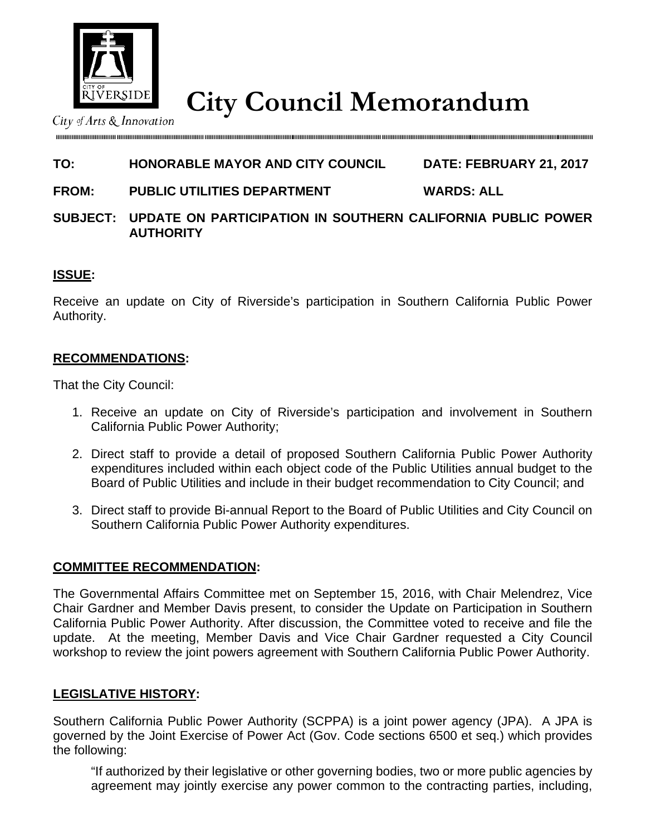

**City Council Memorandum** City Council Memorandum

# **TO: HONORABLE MAYOR AND CITY COUNCIL DATE: FEBRUARY 21, 2017**

**FROM: PUBLIC UTILITIES DEPARTMENT WARDS: ALL** 

### **SUBJECT: UPDATE ON PARTICIPATION IN SOUTHERN CALIFORNIA PUBLIC POWER AUTHORITY**

### **ISSUE:**

Receive an update on City of Riverside's participation in Southern California Public Power Authority.

### **RECOMMENDATIONS:**

That the City Council:

- 1. Receive an update on City of Riverside's participation and involvement in Southern California Public Power Authority;
- 2. Direct staff to provide a detail of proposed Southern California Public Power Authority expenditures included within each object code of the Public Utilities annual budget to the Board of Public Utilities and include in their budget recommendation to City Council; and
- 3. Direct staff to provide Bi-annual Report to the Board of Public Utilities and City Council on Southern California Public Power Authority expenditures.

### **COMMITTEE RECOMMENDATION:**

The Governmental Affairs Committee met on September 15, 2016, with Chair Melendrez, Vice Chair Gardner and Member Davis present, to consider the Update on Participation in Southern California Public Power Authority. After discussion, the Committee voted to receive and file the update. At the meeting, Member Davis and Vice Chair Gardner requested a City Council workshop to review the joint powers agreement with Southern California Public Power Authority.

### **LEGISLATIVE HISTORY:**

Southern California Public Power Authority (SCPPA) is a joint power agency (JPA). A JPA is governed by the Joint Exercise of Power Act (Gov. Code sections 6500 et seq.) which provides the following:

"If authorized by their legislative or other governing bodies, two or more public agencies by agreement may jointly exercise any power common to the contracting parties, including,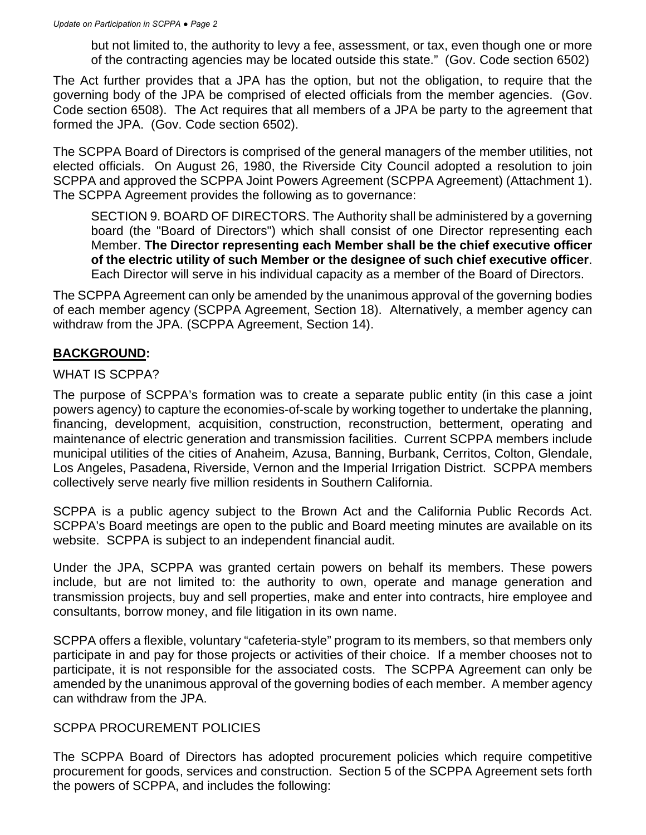but not limited to, the authority to levy a fee, assessment, or tax, even though one or more of the contracting agencies may be located outside this state." (Gov. Code section 6502)

The Act further provides that a JPA has the option, but not the obligation, to require that the governing body of the JPA be comprised of elected officials from the member agencies. (Gov. Code section 6508). The Act requires that all members of a JPA be party to the agreement that formed the JPA. (Gov. Code section 6502).

The SCPPA Board of Directors is comprised of the general managers of the member utilities, not elected officials. On August 26, 1980, the Riverside City Council adopted a resolution to join SCPPA and approved the SCPPA Joint Powers Agreement (SCPPA Agreement) (Attachment 1). The SCPPA Agreement provides the following as to governance:

SECTION 9. BOARD OF DIRECTORS. The Authority shall be administered by a governing board (the "Board of Directors") which shall consist of one Director representing each Member. **The Director representing each Member shall be the chief executive officer of the electric utility of such Member or the designee of such chief executive officer**. Each Director will serve in his individual capacity as a member of the Board of Directors.

The SCPPA Agreement can only be amended by the unanimous approval of the governing bodies of each member agency (SCPPA Agreement, Section 18). Alternatively, a member agency can withdraw from the JPA. (SCPPA Agreement, Section 14).

# **BACKGROUND:**

### WHAT IS SCPPA?

The purpose of SCPPA's formation was to create a separate public entity (in this case a joint powers agency) to capture the economies-of-scale by working together to undertake the planning, financing, development, acquisition, construction, reconstruction, betterment, operating and maintenance of electric generation and transmission facilities. Current SCPPA members include municipal utilities of the cities of Anaheim, Azusa, Banning, Burbank, Cerritos, Colton, Glendale, Los Angeles, Pasadena, Riverside, Vernon and the Imperial Irrigation District. SCPPA members collectively serve nearly five million residents in Southern California.

SCPPA is a public agency subject to the Brown Act and the California Public Records Act. SCPPA's Board meetings are open to the public and Board meeting minutes are available on its website. SCPPA is subject to an independent financial audit.

Under the JPA, SCPPA was granted certain powers on behalf its members. These powers include, but are not limited to: the authority to own, operate and manage generation and transmission projects, buy and sell properties, make and enter into contracts, hire employee and consultants, borrow money, and file litigation in its own name.

SCPPA offers a flexible, voluntary "cafeteria-style" program to its members, so that members only participate in and pay for those projects or activities of their choice. If a member chooses not to participate, it is not responsible for the associated costs. The SCPPA Agreement can only be amended by the unanimous approval of the governing bodies of each member. A member agency can withdraw from the JPA.

### SCPPA PROCUREMENT POLICIES

The SCPPA Board of Directors has adopted procurement policies which require competitive procurement for goods, services and construction. Section 5 of the SCPPA Agreement sets forth the powers of SCPPA, and includes the following: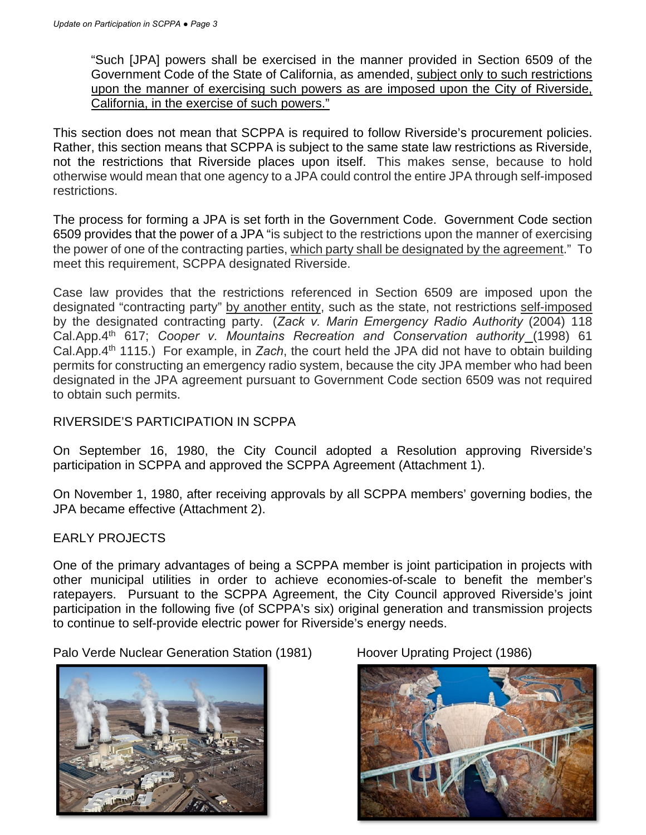"Such [JPA] powers shall be exercised in the manner provided in Section 6509 of the Government Code of the State of California, as amended, subject only to such restrictions upon the manner of exercising such powers as are imposed upon the City of Riverside, California, in the exercise of such powers."

This section does not mean that SCPPA is required to follow Riverside's procurement policies. Rather, this section means that SCPPA is subject to the same state law restrictions as Riverside, not the restrictions that Riverside places upon itself. This makes sense, because to hold otherwise would mean that one agency to a JPA could control the entire JPA through self-imposed restrictions.

The process for forming a JPA is set forth in the Government Code. Government Code section 6509 provides that the power of a JPA "is subject to the restrictions upon the manner of exercising the power of one of the contracting parties, which party shall be designated by the agreement." To meet this requirement, SCPPA designated Riverside.

Case law provides that the restrictions referenced in Section 6509 are imposed upon the designated "contracting party" by another entity, such as the state, not restrictions self-imposed by the designated contracting party. (*Zack v. Marin Emergency Radio Authority* (2004) 118 Cal.App.4th 617; *Cooper v. Mountains Recreation and Conservation authority* (1998) 61 Cal.App.4th 1115.) For example, in *Zach*, the court held the JPA did not have to obtain building permits for constructing an emergency radio system, because the city JPA member who had been designated in the JPA agreement pursuant to Government Code section 6509 was not required to obtain such permits.

## RIVERSIDE'S PARTICIPATION IN SCPPA

On September 16, 1980, the City Council adopted a Resolution approving Riverside's participation in SCPPA and approved the SCPPA Agreement (Attachment 1).

On November 1, 1980, after receiving approvals by all SCPPA members' governing bodies, the JPA became effective (Attachment 2).

### EARLY PROJECTS

One of the primary advantages of being a SCPPA member is joint participation in projects with other municipal utilities in order to achieve economies-of-scale to benefit the member's ratepayers. Pursuant to the SCPPA Agreement, the City Council approved Riverside's joint participation in the following five (of SCPPA's six) original generation and transmission projects to continue to self-provide electric power for Riverside's energy needs.

Palo Verde Nuclear Generation Station (1981) Hoover Uprating Project (1986)



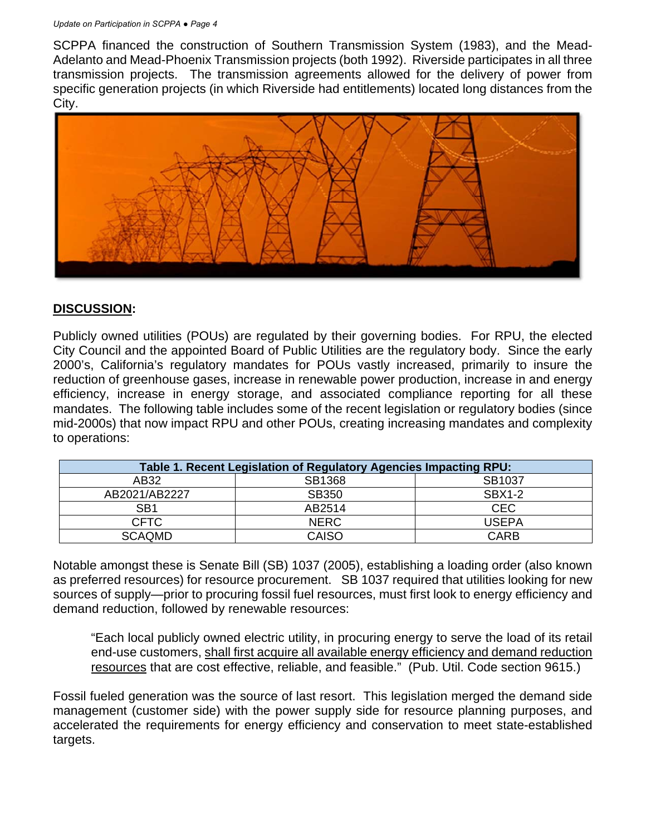#### *Update on Participation in SCPPA ● Page 4*

SCPPA financed the construction of Southern Transmission System (1983), and the Mead-Adelanto and Mead-Phoenix Transmission projects (both 1992). Riverside participates in all three transmission projects. The transmission agreements allowed for the delivery of power from specific generation projects (in which Riverside had entitlements) located long distances from the City.



### **DISCUSSION:**

Publicly owned utilities (POUs) are regulated by their governing bodies. For RPU, the elected City Council and the appointed Board of Public Utilities are the regulatory body. Since the early 2000's, California's regulatory mandates for POUs vastly increased, primarily to insure the reduction of greenhouse gases, increase in renewable power production, increase in and energy efficiency, increase in energy storage, and associated compliance reporting for all these mandates. The following table includes some of the recent legislation or regulatory bodies (since mid-2000s) that now impact RPU and other POUs, creating increasing mandates and complexity to operations:

| Table 1. Recent Legislation of Regulatory Agencies Impacting RPU: |             |               |  |
|-------------------------------------------------------------------|-------------|---------------|--|
| AB32                                                              | SB1368      | SB1037        |  |
| AB2021/AB2227                                                     | SB350       | <b>SBX1-2</b> |  |
| SB <sub>1</sub>                                                   | AB2514      | <b>CEC</b>    |  |
| <b>CFTC</b>                                                       | <b>NERC</b> | <b>USEPA</b>  |  |
| <b>SCAQMD</b>                                                     | CAISO       | CARB          |  |

Notable amongst these is Senate Bill (SB) 1037 (2005), establishing a loading order (also known as preferred resources) for resource procurement. SB 1037 required that utilities looking for new sources of supply—prior to procuring fossil fuel resources, must first look to energy efficiency and demand reduction, followed by renewable resources:

"Each local publicly owned electric utility, in procuring energy to serve the load of its retail end-use customers, shall first acquire all available energy efficiency and demand reduction resources that are cost effective, reliable, and feasible." (Pub. Util. Code section 9615.)

Fossil fueled generation was the source of last resort. This legislation merged the demand side management (customer side) with the power supply side for resource planning purposes, and accelerated the requirements for energy efficiency and conservation to meet state-established targets.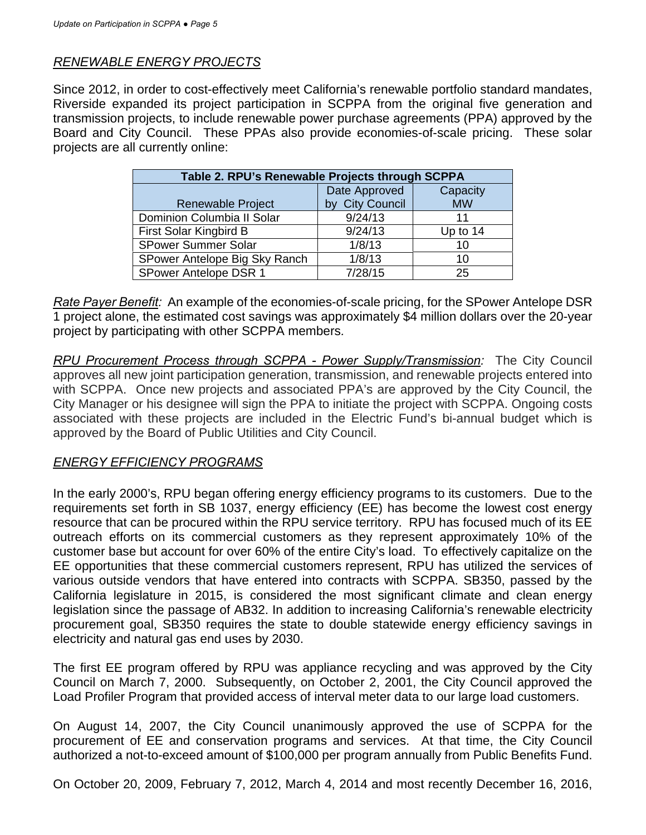## *RENEWABLE ENERGY PROJECTS*

Since 2012, in order to cost-effectively meet California's renewable portfolio standard mandates, Riverside expanded its project participation in SCPPA from the original five generation and transmission projects, to include renewable power purchase agreements (PPA) approved by the Board and City Council. These PPAs also provide economies-of-scale pricing. These solar projects are all currently online:

| Table 2. RPU's Renewable Projects through SCPPA |                 |            |  |  |
|-------------------------------------------------|-----------------|------------|--|--|
|                                                 | Date Approved   | Capacity   |  |  |
| <b>Renewable Project</b>                        | by City Council | <b>MW</b>  |  |  |
| Dominion Columbia II Solar                      | 9/24/13         | 11         |  |  |
| First Solar Kingbird B                          | 9/24/13         | Up to $14$ |  |  |
| <b>SPower Summer Solar</b>                      | 1/8/13          | 10         |  |  |
| SPower Antelope Big Sky Ranch                   | 1/8/13          | 10         |  |  |
| SPower Antelope DSR 1                           | 7/28/15         | 25         |  |  |

*Rate Payer Benefit:* An example of the economies-of-scale pricing, for the SPower Antelope DSR 1 project alone, the estimated cost savings was approximately \$4 million dollars over the 20-year project by participating with other SCPPA members*.*

*RPU Procurement Process through SCPPA - Power Supply/Transmission:* The City Council approves all new joint participation generation, transmission, and renewable projects entered into with SCPPA. Once new projects and associated PPA's are approved by the City Council, the City Manager or his designee will sign the PPA to initiate the project with SCPPA. Ongoing costs associated with these projects are included in the Electric Fund's bi-annual budget which is approved by the Board of Public Utilities and City Council.

### *ENERGY EFFICIENCY PROGRAMS*

In the early 2000's, RPU began offering energy efficiency programs to its customers. Due to the requirements set forth in SB 1037, energy efficiency (EE) has become the lowest cost energy resource that can be procured within the RPU service territory. RPU has focused much of its EE outreach efforts on its commercial customers as they represent approximately 10% of the customer base but account for over 60% of the entire City's load. To effectively capitalize on the EE opportunities that these commercial customers represent, RPU has utilized the services of various outside vendors that have entered into contracts with SCPPA. SB350, passed by the California legislature in 2015, is considered the most significant climate and clean energy legislation since the passage of AB32. In addition to increasing California's renewable electricity procurement goal, SB350 requires the state to double statewide energy efficiency savings in electricity and natural gas end uses by 2030.

The first EE program offered by RPU was appliance recycling and was approved by the City Council on March 7, 2000. Subsequently, on October 2, 2001, the City Council approved the Load Profiler Program that provided access of interval meter data to our large load customers.

On August 14, 2007, the City Council unanimously approved the use of SCPPA for the procurement of EE and conservation programs and services. At that time, the City Council authorized a not-to-exceed amount of \$100,000 per program annually from Public Benefits Fund.

On October 20, 2009, February 7, 2012, March 4, 2014 and most recently December 16, 2016,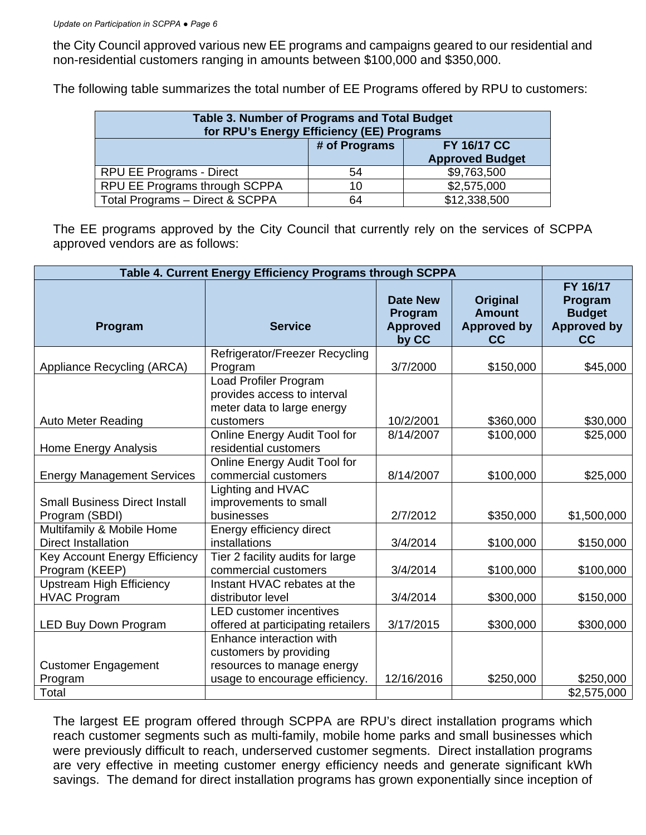the City Council approved various new EE programs and campaigns geared to our residential and non-residential customers ranging in amounts between \$100,000 and \$350,000.

The following table summarizes the total number of EE Programs offered by RPU to customers:

| <b>Table 3. Number of Programs and Total Budget</b><br>for RPU's Energy Efficiency (EE) Programs |               |                                              |  |  |
|--------------------------------------------------------------------------------------------------|---------------|----------------------------------------------|--|--|
|                                                                                                  | # of Programs | <b>FY 16/17 CC</b><br><b>Approved Budget</b> |  |  |
| <b>RPU EE Programs - Direct</b>                                                                  | 54            | \$9,763,500                                  |  |  |
| RPU EE Programs through SCPPA                                                                    | 10            | \$2,575,000                                  |  |  |
| Total Programs - Direct & SCPPA                                                                  | 64            | \$12,338,500                                 |  |  |

The EE programs approved by the City Council that currently rely on the services of SCPPA approved vendors are as follows:

| Table 4. Current Energy Efficiency Programs through SCPPA |                                                                                    |                                                        |                                                       |                                                                  |
|-----------------------------------------------------------|------------------------------------------------------------------------------------|--------------------------------------------------------|-------------------------------------------------------|------------------------------------------------------------------|
| Program                                                   | <b>Service</b>                                                                     | <b>Date New</b><br>Program<br><b>Approved</b><br>by CC | Original<br><b>Amount</b><br><b>Approved by</b><br>cc | FY 16/17<br>Program<br><b>Budget</b><br><b>Approved by</b><br>cc |
|                                                           | Refrigerator/Freezer Recycling                                                     |                                                        |                                                       |                                                                  |
| Appliance Recycling (ARCA)                                | Program                                                                            | 3/7/2000                                               | \$150,000                                             | \$45,000                                                         |
|                                                           | Load Profiler Program<br>provides access to interval<br>meter data to large energy |                                                        |                                                       |                                                                  |
| <b>Auto Meter Reading</b>                                 | customers                                                                          | 10/2/2001                                              | \$360,000                                             | \$30,000                                                         |
| Home Energy Analysis                                      | Online Energy Audit Tool for<br>residential customers                              | 8/14/2007                                              | \$100,000                                             | \$25,000                                                         |
| <b>Energy Management Services</b>                         | Online Energy Audit Tool for<br>commercial customers                               | 8/14/2007                                              | \$100,000                                             | \$25,000                                                         |
| <b>Small Business Direct Install</b>                      | Lighting and HVAC<br>improvements to small<br>businesses                           | 2/7/2012                                               | \$350,000                                             | \$1,500,000                                                      |
| Program (SBDI)                                            |                                                                                    |                                                        |                                                       |                                                                  |
| Multifamily & Mobile Home<br><b>Direct Installation</b>   | Energy efficiency direct<br>installations                                          | 3/4/2014                                               | \$100,000                                             | \$150,000                                                        |
| Key Account Energy Efficiency<br>Program (KEEP)           | Tier 2 facility audits for large<br>commercial customers                           | 3/4/2014                                               | \$100,000                                             | \$100,000                                                        |
| <b>Upstream High Efficiency</b><br><b>HVAC Program</b>    | Instant HVAC rebates at the<br>distributor level                                   | 3/4/2014                                               | \$300,000                                             | \$150,000                                                        |
| LED Buy Down Program                                      | <b>LED</b> customer incentives<br>offered at participating retailers               | 3/17/2015                                              | \$300,000                                             | \$300,000                                                        |
|                                                           | Enhance interaction with<br>customers by providing                                 |                                                        |                                                       |                                                                  |
| <b>Customer Engagement</b>                                | resources to manage energy                                                         |                                                        |                                                       |                                                                  |
| Program                                                   | usage to encourage efficiency.                                                     | 12/16/2016                                             | \$250,000                                             | \$250,000                                                        |
| Total                                                     |                                                                                    |                                                        |                                                       | \$2,575,000                                                      |

The largest EE program offered through SCPPA are RPU's direct installation programs which reach customer segments such as multi-family, mobile home parks and small businesses which were previously difficult to reach, underserved customer segments. Direct installation programs are very effective in meeting customer energy efficiency needs and generate significant kWh savings. The demand for direct installation programs has grown exponentially since inception of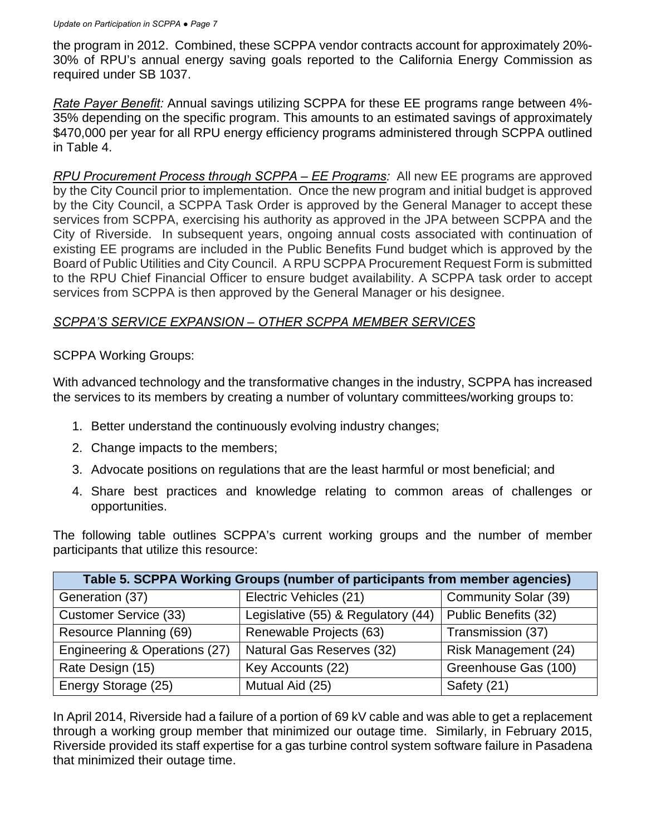the program in 2012. Combined, these SCPPA vendor contracts account for approximately 20%- 30% of RPU's annual energy saving goals reported to the California Energy Commission as required under SB 1037.

*Rate Payer Benefit:* Annual savings utilizing SCPPA for these EE programs range between 4%- 35% depending on the specific program. This amounts to an estimated savings of approximately \$470,000 per year for all RPU energy efficiency programs administered through SCPPA outlined in Table 4.

*RPU Procurement Process through SCPPA – EE Programs:* All new EE programs are approved by the City Council prior to implementation. Once the new program and initial budget is approved by the City Council, a SCPPA Task Order is approved by the General Manager to accept these services from SCPPA, exercising his authority as approved in the JPA between SCPPA and the City of Riverside. In subsequent years, ongoing annual costs associated with continuation of existing EE programs are included in the Public Benefits Fund budget which is approved by the Board of Public Utilities and City Council. A RPU SCPPA Procurement Request Form is submitted to the RPU Chief Financial Officer to ensure budget availability. A SCPPA task order to accept services from SCPPA is then approved by the General Manager or his designee.

## *SCPPA'S SERVICE EXPANSION – OTHER SCPPA MEMBER SERVICES*

SCPPA Working Groups:

With advanced technology and the transformative changes in the industry, SCPPA has increased the services to its members by creating a number of voluntary committees/working groups to:

- 1. Better understand the continuously evolving industry changes;
- 2. Change impacts to the members;
- 3. Advocate positions on regulations that are the least harmful or most beneficial; and
- 4. Share best practices and knowledge relating to common areas of challenges or opportunities.

The following table outlines SCPPA's current working groups and the number of member participants that utilize this resource:

| Table 5. SCPPA Working Groups (number of participants from member agencies) |                                    |                      |  |
|-----------------------------------------------------------------------------|------------------------------------|----------------------|--|
| Generation (37)                                                             | Electric Vehicles (21)             | Community Solar (39) |  |
| <b>Customer Service (33)</b>                                                | Legislative (55) & Regulatory (44) | Public Benefits (32) |  |
| Resource Planning (69)                                                      | Renewable Projects (63)            | Transmission (37)    |  |
| Engineering & Operations (27)                                               | Natural Gas Reserves (32)          | Risk Management (24) |  |
| Rate Design (15)                                                            | Key Accounts (22)                  | Greenhouse Gas (100) |  |
| Energy Storage (25)                                                         | Mutual Aid (25)                    | Safety (21)          |  |

In April 2014, Riverside had a failure of a portion of 69 kV cable and was able to get a replacement through a working group member that minimized our outage time. Similarly, in February 2015, Riverside provided its staff expertise for a gas turbine control system software failure in Pasadena that minimized their outage time.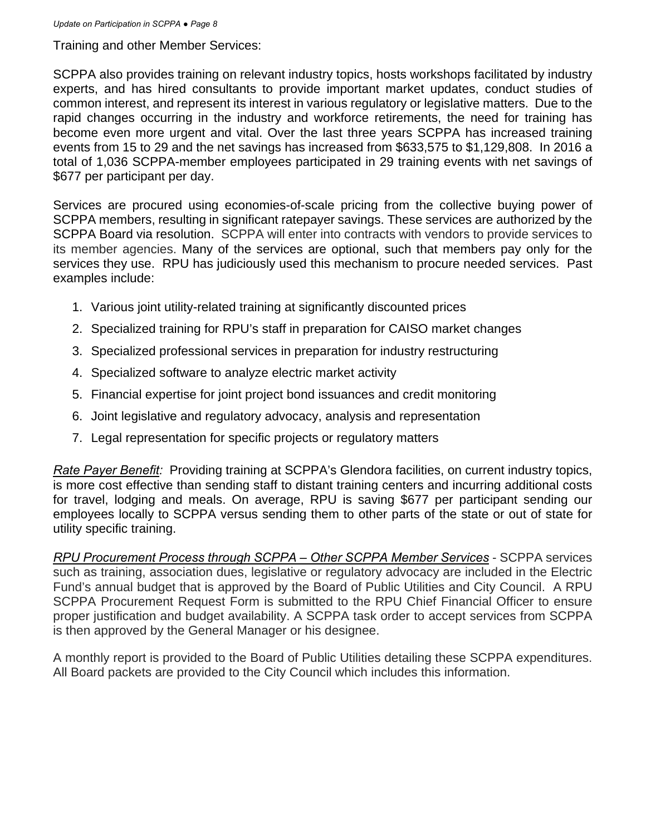Training and other Member Services:

SCPPA also provides training on relevant industry topics, hosts workshops facilitated by industry experts, and has hired consultants to provide important market updates, conduct studies of common interest, and represent its interest in various regulatory or legislative matters. Due to the rapid changes occurring in the industry and workforce retirements, the need for training has become even more urgent and vital. Over the last three years SCPPA has increased training events from 15 to 29 and the net savings has increased from \$633,575 to \$1,129,808. In 2016 a total of 1,036 SCPPA-member employees participated in 29 training events with net savings of \$677 per participant per day.

Services are procured using economies-of-scale pricing from the collective buying power of SCPPA members, resulting in significant ratepayer savings. These services are authorized by the SCPPA Board via resolution. SCPPA will enter into contracts with vendors to provide services to its member agencies. Many of the services are optional, such that members pay only for the services they use. RPU has judiciously used this mechanism to procure needed services. Past examples include:

- 1. Various joint utility-related training at significantly discounted prices
- 2. Specialized training for RPU's staff in preparation for CAISO market changes
- 3. Specialized professional services in preparation for industry restructuring
- 4. Specialized software to analyze electric market activity
- 5. Financial expertise for joint project bond issuances and credit monitoring
- 6. Joint legislative and regulatory advocacy, analysis and representation
- 7. Legal representation for specific projects or regulatory matters

*Rate Payer Benefit:* Providing training at SCPPA's Glendora facilities, on current industry topics, is more cost effective than sending staff to distant training centers and incurring additional costs for travel, lodging and meals. On average, RPU is saving \$677 per participant sending our employees locally to SCPPA versus sending them to other parts of the state or out of state for utility specific training.

*RPU Procurement Process through SCPPA – Other SCPPA Member Services* - SCPPA services such as training, association dues, legislative or regulatory advocacy are included in the Electric Fund's annual budget that is approved by the Board of Public Utilities and City Council. A RPU SCPPA Procurement Request Form is submitted to the RPU Chief Financial Officer to ensure proper justification and budget availability. A SCPPA task order to accept services from SCPPA is then approved by the General Manager or his designee.

A monthly report is provided to the Board of Public Utilities detailing these SCPPA expenditures. All Board packets are provided to the City Council which includes this information.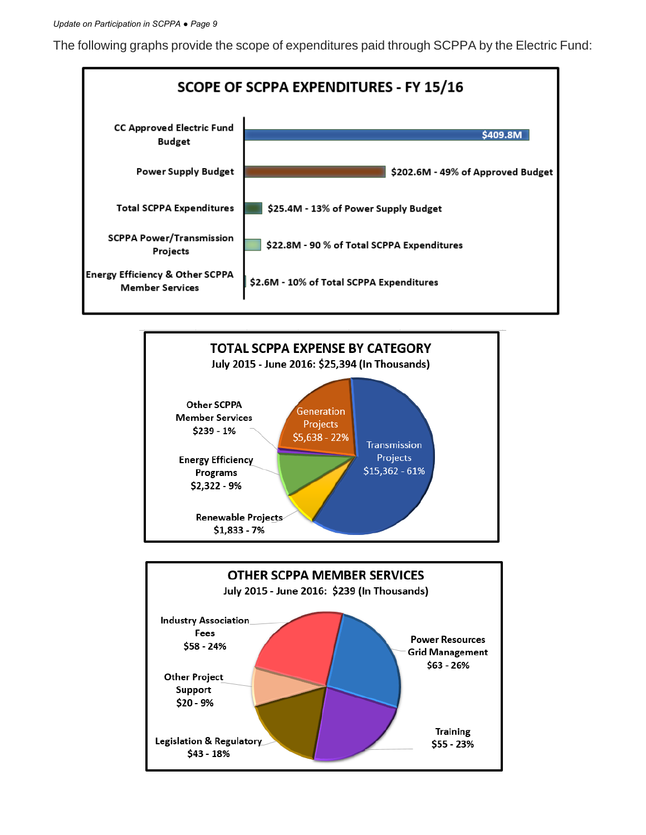The following graphs provide the scope of expenditures paid through SCPPA by the Electric Fund:





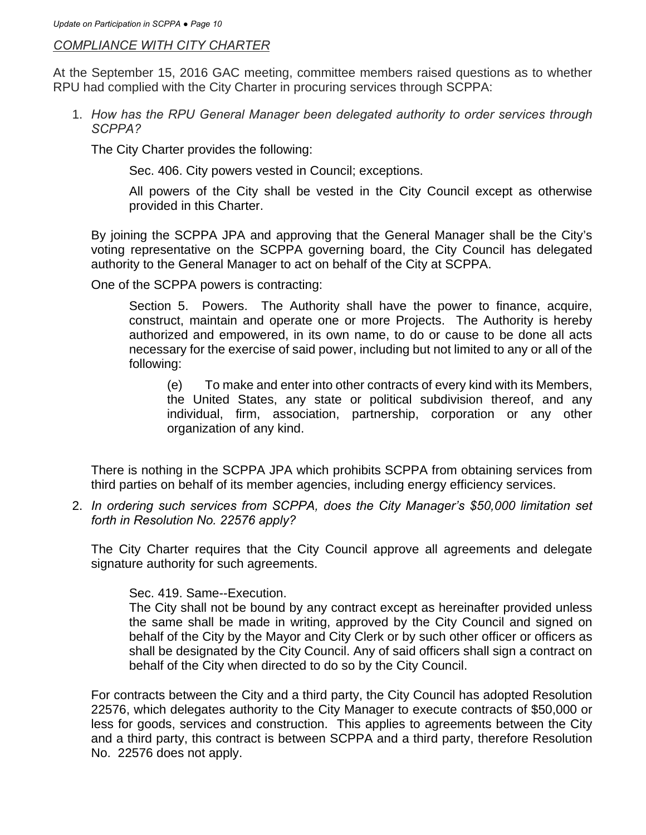#### *COMPLIANCE WITH CITY CHARTER*

At the September 15, 2016 GAC meeting, committee members raised questions as to whether RPU had complied with the City Charter in procuring services through SCPPA:

1. *How has the RPU General Manager been delegated authority to order services through SCPPA?*

The City Charter provides the following:

Sec. 406. City powers vested in Council; exceptions.

All powers of the City shall be vested in the City Council except as otherwise provided in this Charter.

By joining the SCPPA JPA and approving that the General Manager shall be the City's voting representative on the SCPPA governing board, the City Council has delegated authority to the General Manager to act on behalf of the City at SCPPA.

One of the SCPPA powers is contracting:

Section 5. Powers. The Authority shall have the power to finance, acquire, construct, maintain and operate one or more Projects. The Authority is hereby authorized and empowered, in its own name, to do or cause to be done all acts necessary for the exercise of said power, including but not limited to any or all of the following:

(e) To make and enter into other contracts of every kind with its Members, the United States, any state or political subdivision thereof, and any individual, firm, association, partnership, corporation or any other organization of any kind.

There is nothing in the SCPPA JPA which prohibits SCPPA from obtaining services from third parties on behalf of its member agencies, including energy efficiency services.

2.*In ordering such services from SCPPA, does the City Manager's \$50,000 limitation set forth in Resolution No. 22576 apply?*

The City Charter requires that the City Council approve all agreements and delegate signature authority for such agreements.

Sec. 419. Same--Execution.

The City shall not be bound by any contract except as hereinafter provided unless the same shall be made in writing, approved by the City Council and signed on behalf of the City by the Mayor and City Clerk or by such other officer or officers as shall be designated by the City Council. Any of said officers shall sign a contract on behalf of the City when directed to do so by the City Council.

For contracts between the City and a third party, the City Council has adopted Resolution 22576, which delegates authority to the City Manager to execute contracts of \$50,000 or less for goods, services and construction. This applies to agreements between the City and a third party, this contract is between SCPPA and a third party, therefore Resolution No. 22576 does not apply.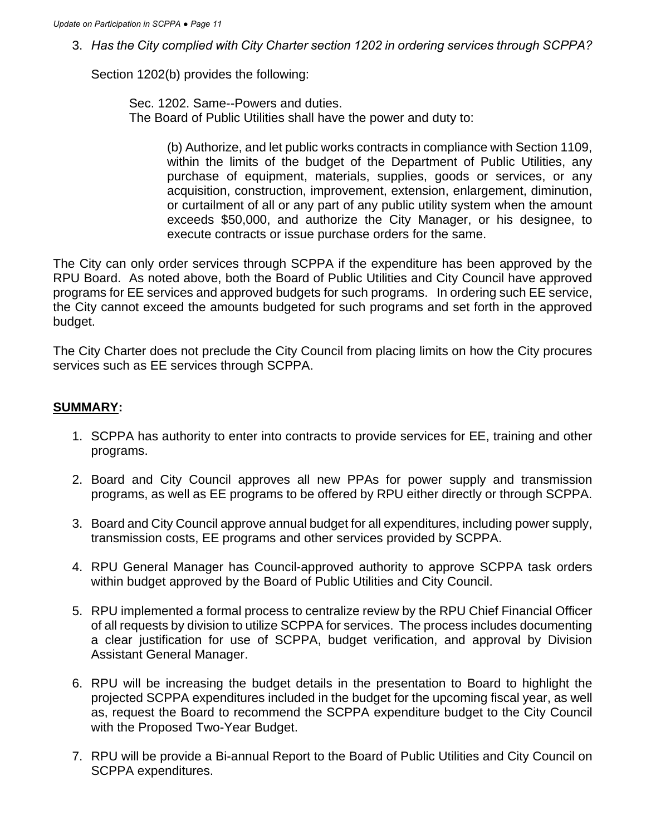3. *Has the City complied with City Charter section 1202 in ordering services through SCPPA?* 

Section 1202(b) provides the following:

Sec. 1202. Same--Powers and duties. The Board of Public Utilities shall have the power and duty to:

> (b) Authorize, and let public works contracts in compliance with Section 1109, within the limits of the budget of the Department of Public Utilities, any purchase of equipment, materials, supplies, goods or services, or any acquisition, construction, improvement, extension, enlargement, diminution, or curtailment of all or any part of any public utility system when the amount exceeds \$50,000, and authorize the City Manager, or his designee, to execute contracts or issue purchase orders for the same.

The City can only order services through SCPPA if the expenditure has been approved by the RPU Board. As noted above, both the Board of Public Utilities and City Council have approved programs for EE services and approved budgets for such programs. In ordering such EE service, the City cannot exceed the amounts budgeted for such programs and set forth in the approved budget.

The City Charter does not preclude the City Council from placing limits on how the City procures services such as EE services through SCPPA.

### **SUMMARY:**

- 1. SCPPA has authority to enter into contracts to provide services for EE, training and other programs.
- 2. Board and City Council approves all new PPAs for power supply and transmission programs, as well as EE programs to be offered by RPU either directly or through SCPPA.
- 3. Board and City Council approve annual budget for all expenditures, including power supply, transmission costs, EE programs and other services provided by SCPPA.
- 4. RPU General Manager has Council-approved authority to approve SCPPA task orders within budget approved by the Board of Public Utilities and City Council.
- 5. RPU implemented a formal process to centralize review by the RPU Chief Financial Officer of all requests by division to utilize SCPPA for services. The process includes documenting a clear justification for use of SCPPA, budget verification, and approval by Division Assistant General Manager.
- 6. RPU will be increasing the budget details in the presentation to Board to highlight the projected SCPPA expenditures included in the budget for the upcoming fiscal year, as well as, request the Board to recommend the SCPPA expenditure budget to the City Council with the Proposed Two-Year Budget.
- 7. RPU will be provide a Bi-annual Report to the Board of Public Utilities and City Council on SCPPA expenditures.